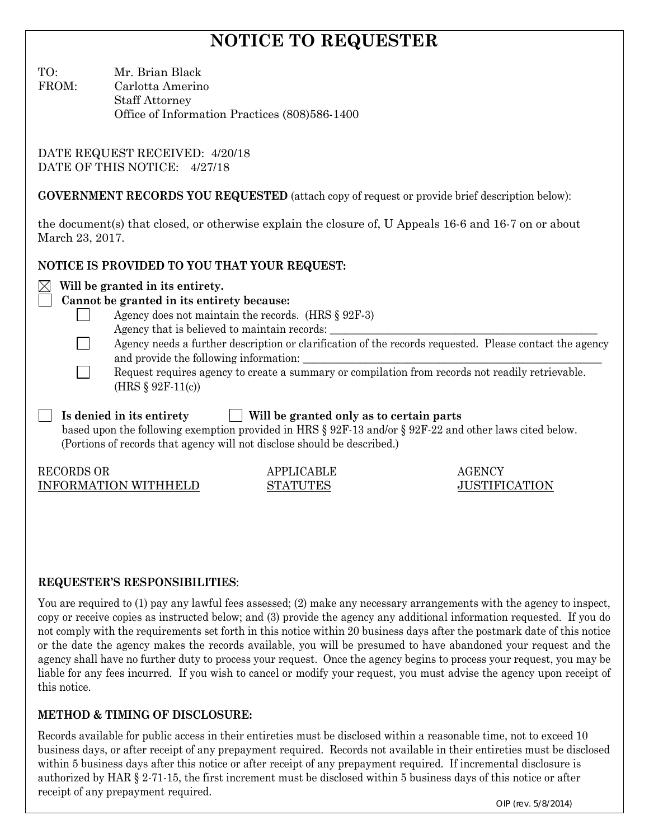# **NOTICE TO REQUESTER**

TO: Mr. Brian Black

FROM: Carlotta Amerino Staff Attorney Office of Information Practices (808)586-1400

DATE REQUEST RECEIVED: 4/20/18 DATE OF THIS NOTICE: 4/27/18

**GOVERNMENT RECORDS YOU REQUESTED** (attach copy of request or provide brief description below):

the document(s) that closed, or otherwise explain the closure of, U Appeals 16-6 and 16-7 on or about March 23, 2017.

# **NOTICE IS PROVIDED TO YOU THAT YOUR REQUEST:**

## $\boxtimes$  Will be granted in its entirety.

# **Cannot be granted in its entirety because:**

- Agency does not maintain the records. (HRS § 92F-3)
- Agency that is believed to maintain records:
- Agency needs a further description or clarification of the records requested. Please contact the agency and provide the following information:
- Request requires agency to create a summary or compilation from records not readily retrievable. (HRS § 92F-11(c))

 **Is denied in its entirety Will be granted only as to certain parts** based upon the following exemption provided in HRS § 92F-13 and/or § 92F-22 and other laws cited below. (Portions of records that agency will not disclose should be described.)

RECORDS OR APPLICABLE AGENCY INFORMATION WITHHELD STATUTES JUSTIFICATION

 $\Box$ 

## **REQUESTER'S RESPONSIBILITIES**:

You are required to (1) pay any lawful fees assessed; (2) make any necessary arrangements with the agency to inspect, copy or receive copies as instructed below; and (3) provide the agency any additional information requested. If you do not comply with the requirements set forth in this notice within 20 business days after the postmark date of this notice or the date the agency makes the records available, you will be presumed to have abandoned your request and the agency shall have no further duty to process your request. Once the agency begins to process your request, you may be liable for any fees incurred. If you wish to cancel or modify your request, you must advise the agency upon receipt of this notice.

# **METHOD & TIMING OF DISCLOSURE:**

Records available for public access in their entireties must be disclosed within a reasonable time, not to exceed 10 business days, or after receipt of any prepayment required. Records not available in their entireties must be disclosed within 5 business days after this notice or after receipt of any prepayment required. If incremental disclosure is authorized by HAR § 2-71-15, the first increment must be disclosed within 5 business days of this notice or after receipt of any prepayment required.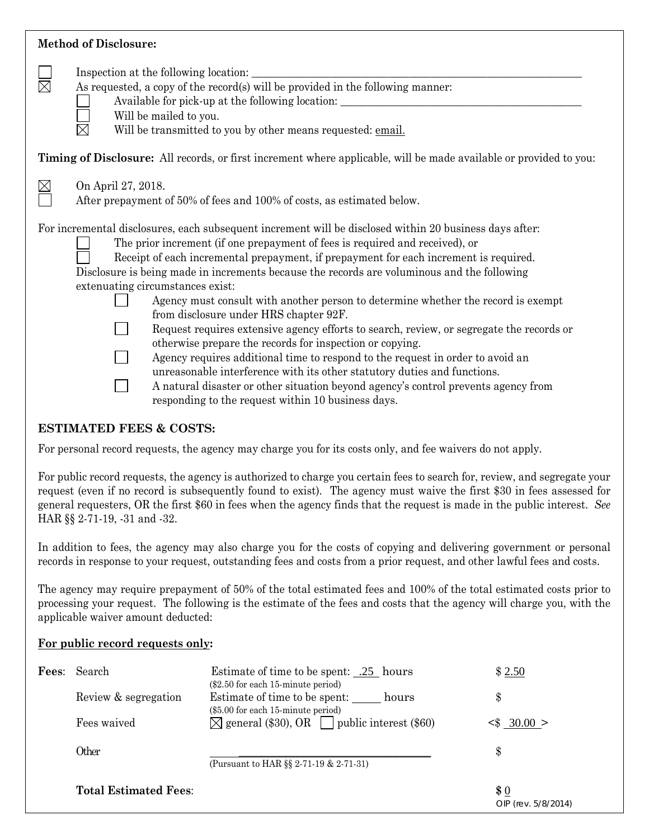## **Method of Disclosure:**

| $\boxtimes$ | Inspection at the following location:<br>As requested, a copy of the record(s) will be provided in the following manner:<br>Available for pick-up at the following location:<br>Will be mailed to you.<br>Will be transmitted to you by other means requested: email.                                                                                                                                                                                                                                                                                                                                                                                                                                                                                                                                                                                                                                                                                                                                                |
|-------------|----------------------------------------------------------------------------------------------------------------------------------------------------------------------------------------------------------------------------------------------------------------------------------------------------------------------------------------------------------------------------------------------------------------------------------------------------------------------------------------------------------------------------------------------------------------------------------------------------------------------------------------------------------------------------------------------------------------------------------------------------------------------------------------------------------------------------------------------------------------------------------------------------------------------------------------------------------------------------------------------------------------------|
|             | Timing of Disclosure: All records, or first increment where applicable, will be made available or provided to you:                                                                                                                                                                                                                                                                                                                                                                                                                                                                                                                                                                                                                                                                                                                                                                                                                                                                                                   |
| $\boxtimes$ | On April 27, 2018.<br>After prepayment of 50% of fees and 100% of costs, as estimated below.                                                                                                                                                                                                                                                                                                                                                                                                                                                                                                                                                                                                                                                                                                                                                                                                                                                                                                                         |
|             | For incremental disclosures, each subsequent increment will be disclosed within 20 business days after:<br>The prior increment (if one prepayment of fees is required and received), or<br>Receipt of each incremental prepayment, if prepayment for each increment is required.<br>Disclosure is being made in increments because the records are voluminous and the following<br>extenuating circumstances exist:<br>Agency must consult with another person to determine whether the record is exempt<br>from disclosure under HRS chapter 92F.<br>Request requires extensive agency efforts to search, review, or segregate the records or<br>otherwise prepare the records for inspection or copying.<br>Agency requires additional time to respond to the request in order to avoid an<br>unreasonable interference with its other statutory duties and functions.<br>A natural disaster or other situation beyond agency's control prevents agency from<br>responding to the request within 10 business days. |

#### **ESTIMATED FEES & COSTS:**

For personal record requests, the agency may charge you for its costs only, and fee waivers do not apply.

For public record requests, the agency is authorized to charge you certain fees to search for, review, and segregate your request (even if no record is subsequently found to exist). The agency must waive the first \$30 in fees assessed for general requesters, OR the first \$60 in fees when the agency finds that the request is made in the public interest. *See* HAR §§ 2-71-19, -31 and -32.

In addition to fees, the agency may also charge you for the costs of copying and delivering government or personal records in response to your request, outstanding fees and costs from a prior request, and other lawful fees and costs.

The agency may require prepayment of 50% of the total estimated fees and 100% of the total estimated costs prior to processing your request. The following is the estimate of the fees and costs that the agency will charge you, with the applicable waiver amount deducted:

#### **For public record requests only:**

| <b>Fees:</b> Search          | Estimate of time to be spent: .25 hours<br>$(\$2.50$ for each 15-minute period) | \$2.50                     |
|------------------------------|---------------------------------------------------------------------------------|----------------------------|
| Review & segregation         | Estimate of time to be spent: hours<br>(\$5.00 for each 15-minute period)       | \$                         |
| Fees waived                  | $\boxtimes$ general (\$30), OR $\Box$ public interest (\$60)                    | $\leq$ 30.00 >             |
| Other                        |                                                                                 | \$                         |
|                              | (Pursuant to HAR $\S$ 2-71-19 & 2-71-31)                                        |                            |
| <b>Total Estimated Fees:</b> |                                                                                 | \$0<br>OIP (rev. 5/8/2014) |